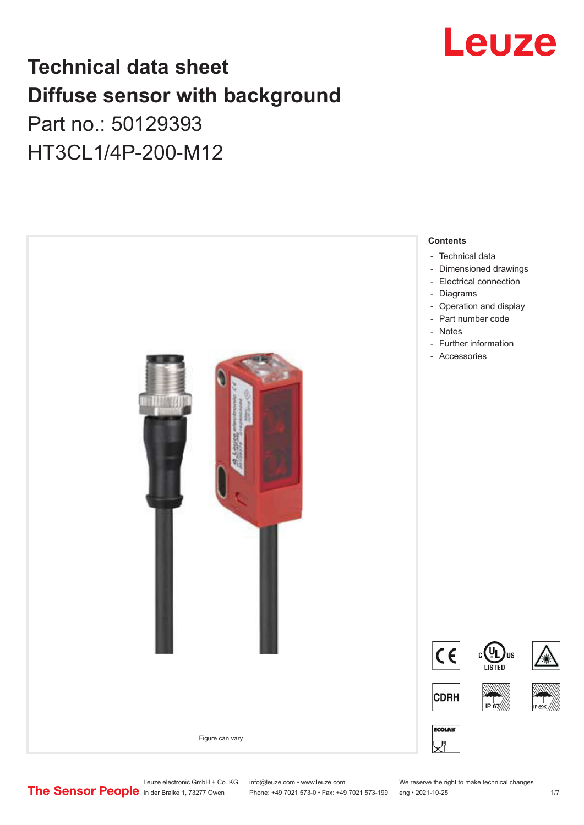

## **Technical data sheet Diffuse sensor with background**  Part no.: 50129393

HT3CL1/4P-200-M12



Leuze electronic GmbH + Co. KG info@leuze.com • www.leuze.com We reserve the right to make technical changes<br>
The Sensor People in der Braike 1, 73277 Owen Phone: +49 7021 573-0 • Fax: +49 7021 573-199 eng • 2021-10-25

Phone: +49 7021 573-0 • Fax: +49 7021 573-199 eng • 2021-10-25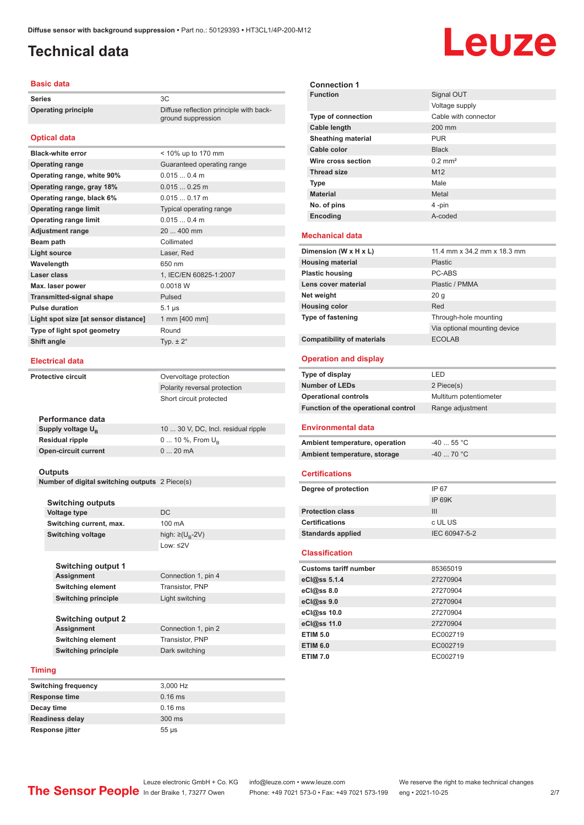ground suppression

#### <span id="page-1-0"></span>**Technical data**

#### **Basic data**

**Series** 3C **Operating principle** Diffuse reflection principle with back-

#### **Optical data**

| <b>Black-white error</b>             | < 10% up to 170 mm         |
|--------------------------------------|----------------------------|
| <b>Operating range</b>               | Guaranteed operating range |
| Operating range, white 90%           | 0.0150.4 m                 |
| Operating range, gray 18%            | $0.0150.25$ m              |
| Operating range, black 6%            | $0.0150.17$ m              |
| <b>Operating range limit</b>         | Typical operating range    |
| <b>Operating range limit</b>         | 0.0150.4 m                 |
| <b>Adjustment range</b>              | 20  400 mm                 |
| Beam path                            | Collimated                 |
|                                      |                            |
| <b>Light source</b>                  | Laser, Red                 |
| Wavelength                           | 650 nm                     |
| Laser class                          | 1, IEC/EN 60825-1:2007     |
| Max. laser power                     | 0.0018 W                   |
| <b>Transmitted-signal shape</b>      | Pulsed                     |
| <b>Pulse duration</b>                | $5.1 \,\mu s$              |
| Light spot size [at sensor distance] | 1 mm [400 mm]              |
| Type of light spot geometry          | Round                      |
| Shift angle                          | Typ. $\pm 2^{\circ}$       |

#### **Electrical data**

| <b>Protective circuit</b>     | Overvoltage protection              |  |
|-------------------------------|-------------------------------------|--|
|                               | Polarity reversal protection        |  |
|                               | Short circuit protected             |  |
|                               |                                     |  |
| Performance data              |                                     |  |
| Supply voltage U <sub>p</sub> | 10  30 V, DC, Incl. residual ripple |  |
| <b>Residual ripple</b>        | 0  10 %, From $U_{\rm B}$           |  |
| <b>Open-circuit current</b>   | $020$ mA                            |  |

#### **Outputs**

**Number of digital switching outputs** 2 Piece(s)

| <b>Switching outputs</b>   |                                   |
|----------------------------|-----------------------------------|
| Voltage type               | DC                                |
| Switching current, max.    | 100 mA                            |
| <b>Switching voltage</b>   | high: $\geq$ (U <sub>R</sub> -2V) |
|                            | $1$ nw: $\leq$ 2V                 |
|                            |                                   |
| <b>Switching output 1</b>  |                                   |
| <b>Assignment</b>          | Connection 1, pin 4               |
| <b>Switching element</b>   | Transistor, PNP                   |
| <b>Switching principle</b> | Light switching                   |
|                            |                                   |
| <b>Switching output 2</b>  |                                   |
| <b>Assignment</b>          | Connection 1, pin 2               |
| <b>Switching element</b>   | Transistor, PNP                   |
| <b>Switching principle</b> | Dark switching                    |

#### **Timing**

| <b>Switching frequency</b> | 3,000 Hz   |
|----------------------------|------------|
| <b>Response time</b>       | $0.16$ ms  |
| Decay time                 | $0.16$ ms  |
| <b>Readiness delay</b>     | $300$ ms   |
| Response jitter            | $55 \mu s$ |

| <b>Connection 1</b>                 |                              |
|-------------------------------------|------------------------------|
| <b>Function</b>                     | Signal OUT                   |
|                                     | Voltage supply               |
| Type of connection                  | Cable with connector         |
| <b>Cable length</b>                 | 200 mm                       |
| <b>Sheathing material</b>           | <b>PUR</b>                   |
| Cable color                         | <b>Black</b>                 |
| Wire cross section                  | $0.2$ mm <sup>2</sup>        |
| <b>Thread size</b>                  | M12                          |
| <b>Type</b>                         | Male                         |
| <b>Material</b>                     | Metal                        |
| No. of pins                         | 4-pin                        |
| Encoding                            | A-coded                      |
|                                     |                              |
| <b>Mechanical data</b>              |                              |
| Dimension (W x H x L)               | 11.4 mm x 34.2 mm x 18.3 mm  |
| <b>Housing material</b>             | Plastic                      |
| <b>Plastic housing</b>              | PC-ARS                       |
| Lens cover material                 | Plastic / PMMA               |
| Net weight                          | 20 <sub>g</sub>              |
| <b>Housing color</b>                | Red                          |
| Type of fastening                   | Through-hole mounting        |
|                                     | Via optional mounting device |
| <b>Compatibility of materials</b>   | <b>ECOLAB</b>                |
| <b>Operation and display</b>        |                              |
|                                     |                              |
| Type of display                     | LED                          |
| <b>Number of LEDs</b>               | 2 Piece(s)                   |
| <b>Operational controls</b>         | Multiturn potentiometer      |
| Function of the operational control | Range adjustment             |
| <b>Environmental data</b>           |                              |
|                                     | $-4055$ °C                   |
| Ambient temperature, operation      |                              |
| Ambient temperature, storage        | -40  70 °C                   |
| <b>Certifications</b>               |                              |
| Degree of protection                | IP 67                        |
|                                     | IP 69K                       |
| <b>Protection class</b>             | III                          |
| <b>Certifications</b>               | c UL US                      |
| <b>Standards applied</b>            | IEC 60947-5-2                |
| <b>Classification</b>               |                              |
| <b>Customs tariff number</b>        | 85365019                     |
| eCl@ss 5.1.4                        | 27270904                     |
| eCl@ss 8.0                          | 27270904                     |
| eCl@ss 9.0                          | 27270904                     |
| eCl@ss 10.0                         | 27270904                     |
| eCl@ss 11.0                         | 27270904                     |
| <b>ETIM 5.0</b>                     | EC002719                     |
| <b>ETIM 6.0</b>                     | EC002719                     |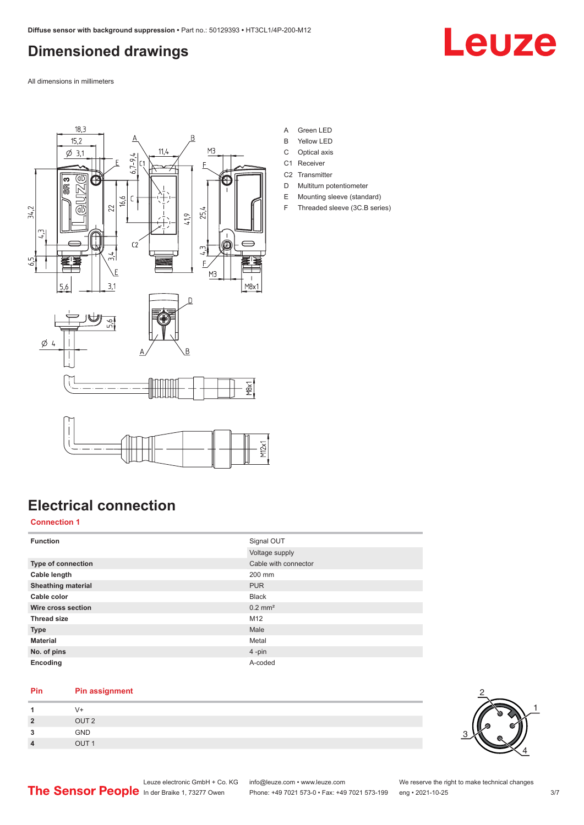### <span id="page-2-0"></span>**Dimensioned drawings**

Leuze

All dimensions in millimeters



- A Green LED
- B Yellow LED
- C Optical axis
- C1 Receiver C<sub>2</sub> Transmitter
- D Multiturn potentiometer
- E Mounting sleeve (standard)
- F Threaded sleeve (3C.B series)

|  | <b>Electrical connection</b> |
|--|------------------------------|
|--|------------------------------|

#### **Connection 1**

| <b>Function</b>           | Signal OUT<br>Voltage supply |
|---------------------------|------------------------------|
| <b>Type of connection</b> | Cable with connector         |
| Cable length              | 200 mm                       |
| <b>Sheathing material</b> | <b>PUR</b>                   |
| Cable color               | <b>Black</b>                 |
| Wire cross section        | $0.2$ mm <sup>2</sup>        |
| <b>Thread size</b>        | M12                          |
| <b>Type</b>               | Male                         |
| <b>Material</b>           | Metal                        |
| No. of pins               | 4-pin                        |
| Encoding                  | A-coded                      |

#### **Pin Pin assignment**

|                   | $\sqrt{+}$       |
|-------------------|------------------|
| $\mathbf{\Omega}$ | OUT <sub>2</sub> |
| ໍາ                | GND              |
| $\Lambda$         | 711T             |

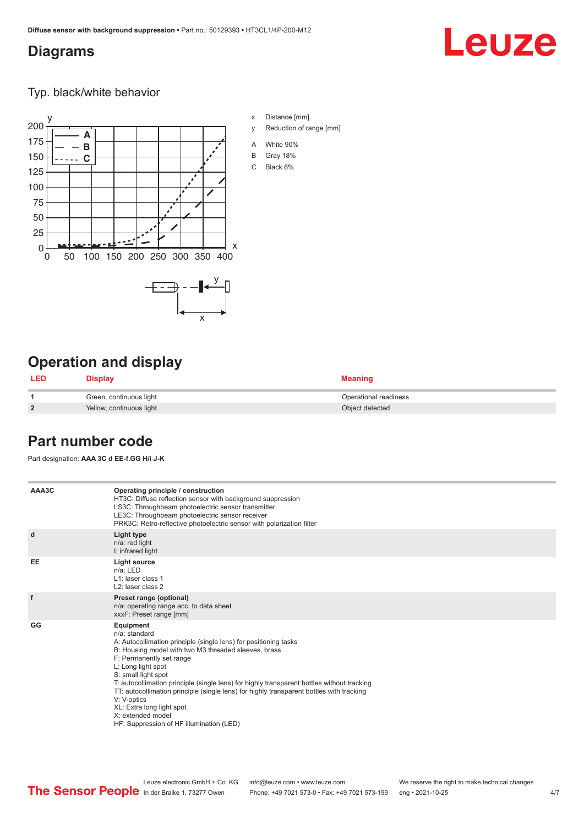#### <span id="page-3-0"></span>**Diagrams**

# Leuze

Typ. black/white behavior



## **Operation and display**

| <b>LED</b>     | <b>Display</b>           | <b>Meaning</b>        |
|----------------|--------------------------|-----------------------|
|                | Green, continuous light  | Operational readiness |
| $\overline{2}$ | Yellow, continuous light | Object detected       |

#### **Part number code**

Part designation: **AAA 3C d EE-f.GG H/i J-K**

| AAA3C     | Operating principle / construction<br>HT3C: Diffuse reflection sensor with background suppression<br>LS3C: Throughbeam photoelectric sensor transmitter<br>LE3C: Throughbeam photoelectric sensor receiver<br>PRK3C: Retro-reflective photoelectric sensor with polarization filter                                                                                                                                                                                                                                                    |
|-----------|----------------------------------------------------------------------------------------------------------------------------------------------------------------------------------------------------------------------------------------------------------------------------------------------------------------------------------------------------------------------------------------------------------------------------------------------------------------------------------------------------------------------------------------|
| d         | Light type<br>n/a: red light<br>I: infrared light                                                                                                                                                                                                                                                                                                                                                                                                                                                                                      |
| <b>EE</b> | Light source<br>$n/a$ : LED<br>$L1$ : laser class 1<br>L <sub>2</sub> : laser class 2                                                                                                                                                                                                                                                                                                                                                                                                                                                  |
| f         | Preset range (optional)<br>n/a: operating range acc. to data sheet<br>xxxF: Preset range [mm]                                                                                                                                                                                                                                                                                                                                                                                                                                          |
| GG        | Equipment<br>n/a: standard<br>A: Autocollimation principle (single lens) for positioning tasks<br>B: Housing model with two M3 threaded sleeves, brass<br>F: Permanently set range<br>L: Long light spot<br>S: small light spot<br>T: autocollimation principle (single lens) for highly transparent bottles without tracking<br>TT: autocollimation principle (single lens) for highly transparent bottles with tracking<br>V: V-optics<br>XL: Extra long light spot<br>X: extended model<br>HF: Suppression of HF illumination (LED) |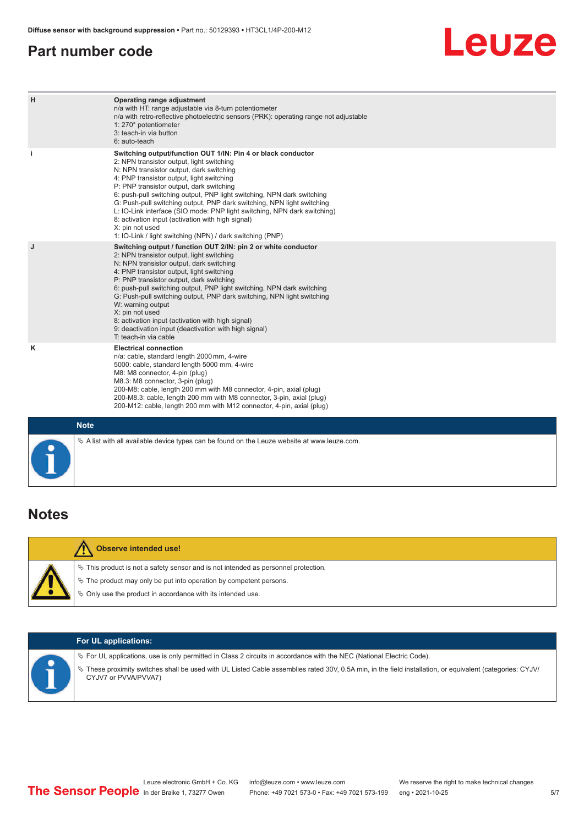#### <span id="page-4-0"></span>**Part number code**

# **Leuze**

| H           | Operating range adjustment<br>n/a with HT: range adjustable via 8-turn potentiometer<br>n/a with retro-reflective photoelectric sensors (PRK): operating range not adjustable<br>1: 270° potentiometer<br>3: teach-in via button<br>6: auto-teach                                                                                                                                                                                                                                                                                                                                                                   |
|-------------|---------------------------------------------------------------------------------------------------------------------------------------------------------------------------------------------------------------------------------------------------------------------------------------------------------------------------------------------------------------------------------------------------------------------------------------------------------------------------------------------------------------------------------------------------------------------------------------------------------------------|
| j.          | Switching output/function OUT 1/IN: Pin 4 or black conductor<br>2: NPN transistor output, light switching<br>N: NPN transistor output, dark switching<br>4: PNP transistor output, light switching<br>P: PNP transistor output, dark switching<br>6: push-pull switching output, PNP light switching, NPN dark switching<br>G: Push-pull switching output, PNP dark switching, NPN light switching<br>L: IO-Link interface (SIO mode: PNP light switching, NPN dark switching)<br>8: activation input (activation with high signal)<br>X: pin not used<br>1: IO-Link / light switching (NPN) / dark switching (PNP) |
| J           | Switching output / function OUT 2/IN: pin 2 or white conductor<br>2: NPN transistor output, light switching<br>N: NPN transistor output, dark switching<br>4: PNP transistor output, light switching<br>P: PNP transistor output, dark switching<br>6: push-pull switching output, PNP light switching, NPN dark switching<br>G: Push-pull switching output, PNP dark switching, NPN light switching<br>W: warning output<br>X: pin not used<br>8: activation input (activation with high signal)<br>9: deactivation input (deactivation with high signal)<br>T: teach-in via cable                                 |
| Κ           | <b>Electrical connection</b><br>n/a: cable, standard length 2000 mm, 4-wire<br>5000: cable, standard length 5000 mm, 4-wire<br>M8: M8 connector, 4-pin (plug)<br>M8.3: M8 connector, 3-pin (plug)<br>200-M8: cable, length 200 mm with M8 connector, 4-pin, axial (plug)<br>200-M8.3: cable, length 200 mm with M8 connector, 3-pin, axial (plug)<br>200-M12: cable, length 200 mm with M12 connector, 4-pin, axial (plug)                                                                                                                                                                                          |
| <b>Note</b> |                                                                                                                                                                                                                                                                                                                                                                                                                                                                                                                                                                                                                     |

### **Notes**

| Observe intended use!                                                                                                                                                                                                            |
|----------------------------------------------------------------------------------------------------------------------------------------------------------------------------------------------------------------------------------|
| $\%$ This product is not a safety sensor and is not intended as personnel protection.<br>$\&$ The product may only be put into operation by competent persons.<br>$\&$ Only use the product in accordance with its intended use. |

 $\%$  A list with all available device types can be found on the Leuze website at www.leuze.com.

| <b>For UL applications:</b>                                                                                                                                                                                                                                                                                 |
|-------------------------------------------------------------------------------------------------------------------------------------------------------------------------------------------------------------------------------------------------------------------------------------------------------------|
| $\%$ For UL applications, use is only permitted in Class 2 circuits in accordance with the NEC (National Electric Code).<br>These proximity switches shall be used with UL Listed Cable assemblies rated 30V, 0.5A min, in the field installation, or equivalent (categories: CYJV/<br>CYJV7 or PVVA/PVVA7) |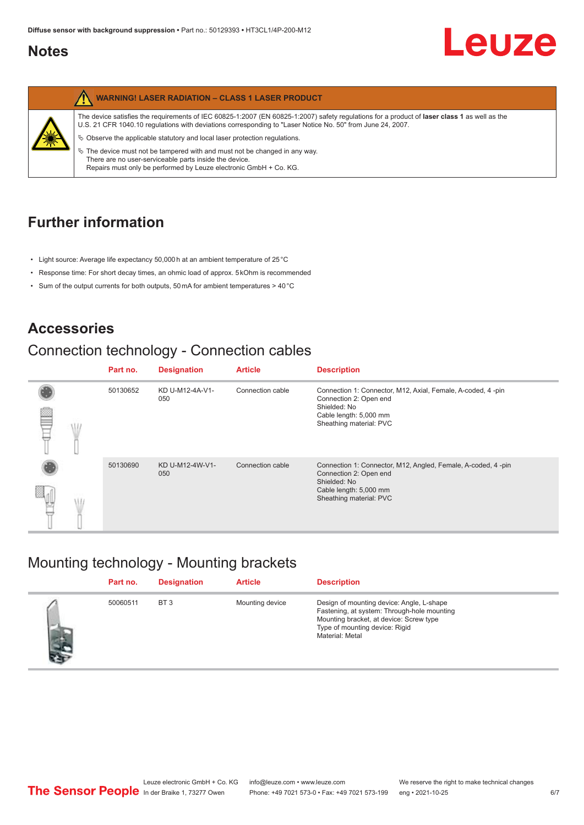#### <span id="page-5-0"></span>**Notes**



## **Further information**

- Light source: Average life expectancy 50,000 h at an ambient temperature of 25 °C
- Response time: For short decay times, an ohmic load of approx. 5 kOhm is recommended
- Sum of the output currents for both outputs, 50 mA for ambient temperatures > 40 °C

## **Accessories**

## Connection technology - Connection cables

|  |  | Part no. | <b>Designation</b>     | <b>Article</b>                                    | <b>Description</b>                                                                                                                                         |
|--|--|----------|------------------------|---------------------------------------------------|------------------------------------------------------------------------------------------------------------------------------------------------------------|
|  |  | 50130652 | KD U-M12-4A-V1-<br>050 | Connection cable                                  | Connection 1: Connector, M12, Axial, Female, A-coded, 4-pin<br>Connection 2: Open end<br>Shielded: No<br>Cable length: 5,000 mm<br>Sheathing material: PVC |
|  |  |          |                        |                                                   |                                                                                                                                                            |
|  |  | 50130690 | KD U-M12-4W-V1-<br>050 | Connection cable                                  | Connection 1: Connector, M12, Angled, Female, A-coded, 4-pin<br>Connection 2: Open end<br>Shielded: No                                                     |
|  |  |          |                        | Cable length: 5,000 mm<br>Sheathing material: PVC |                                                                                                                                                            |

### Mounting technology - Mounting brackets

|    | Part no. | <b>Designation</b> | <b>Article</b>  | <b>Description</b>                                                                                                                                                                       |
|----|----------|--------------------|-----------------|------------------------------------------------------------------------------------------------------------------------------------------------------------------------------------------|
| 大片 | 50060511 | BT <sub>3</sub>    | Mounting device | Design of mounting device: Angle, L-shape<br>Fastening, at system: Through-hole mounting<br>Mounting bracket, at device: Screw type<br>Type of mounting device: Rigid<br>Material: Metal |

Leuze